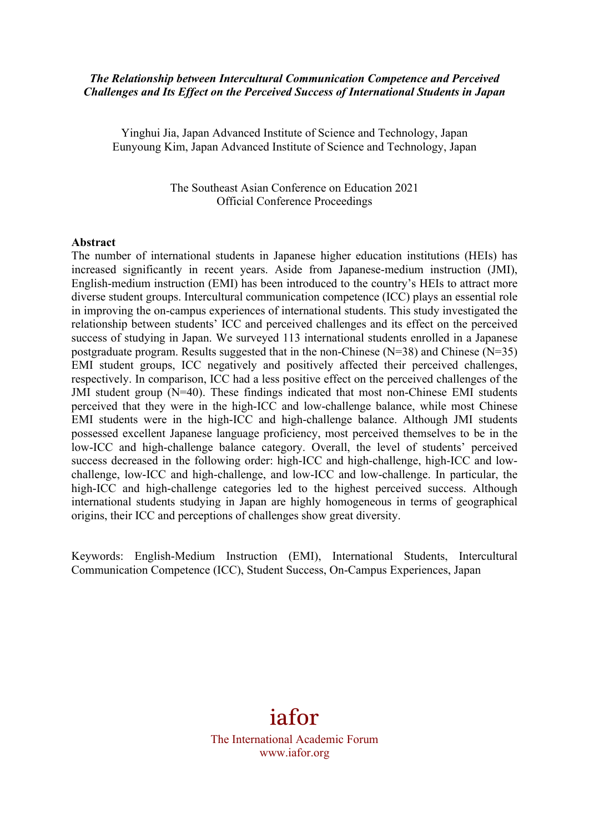### *The Relationship between Intercultural Communication Competence and Perceived Challenges and Its Effect on the Perceived Success of International Students in Japan*

Yinghui Jia, Japan Advanced Institute of Science and Technology, Japan Eunyoung Kim, Japan Advanced Institute of Science and Technology, Japan

> The Southeast Asian Conference on Education 2021 Official Conference Proceedings

#### **Abstract**

The number of international students in Japanese higher education institutions (HEIs) has increased significantly in recent years. Aside from Japanese-medium instruction (JMI), English-medium instruction (EMI) has been introduced to the country's HEIs to attract more diverse student groups. Intercultural communication competence (ICC) plays an essential role in improving the on-campus experiences of international students. This study investigated the relationship between students' ICC and perceived challenges and its effect on the perceived success of studying in Japan. We surveyed 113 international students enrolled in a Japanese postgraduate program. Results suggested that in the non-Chinese (N=38) and Chinese (N=35) EMI student groups, ICC negatively and positively affected their perceived challenges, respectively. In comparison, ICC had a less positive effect on the perceived challenges of the JMI student group (N=40). These findings indicated that most non-Chinese EMI students perceived that they were in the high-ICC and low-challenge balance, while most Chinese EMI students were in the high-ICC and high-challenge balance. Although JMI students possessed excellent Japanese language proficiency, most perceived themselves to be in the low-ICC and high-challenge balance category. Overall, the level of students' perceived success decreased in the following order: high-ICC and high-challenge, high-ICC and lowchallenge, low-ICC and high-challenge, and low-ICC and low-challenge. In particular, the high-ICC and high-challenge categories led to the highest perceived success. Although international students studying in Japan are highly homogeneous in terms of geographical origins, their ICC and perceptions of challenges show great diversity.

Keywords: English-Medium Instruction (EMI), International Students, Intercultural Communication Competence (ICC), Student Success, On-Campus Experiences, Japan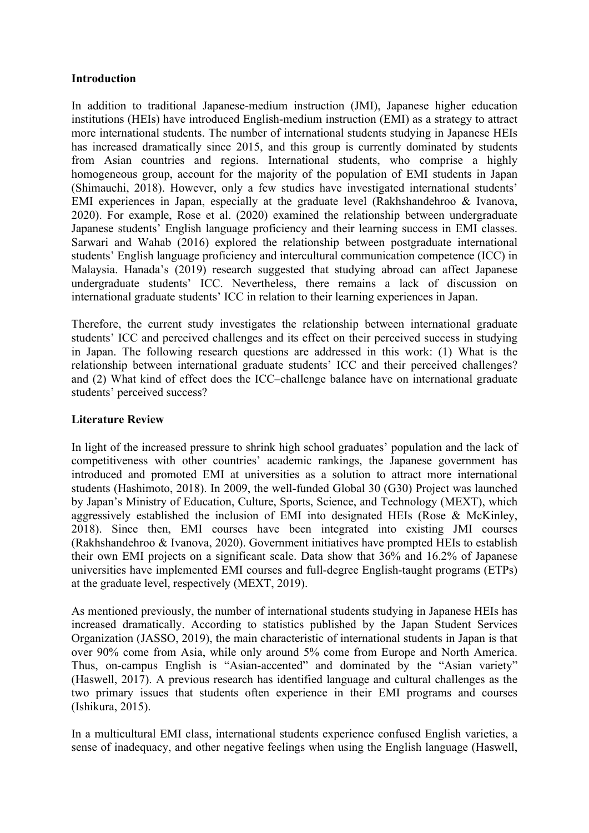### **Introduction**

In addition to traditional Japanese-medium instruction (JMI), Japanese higher education institutions (HEIs) have introduced English-medium instruction (EMI) as a strategy to attract more international students. The number of international students studying in Japanese HEIs has increased dramatically since 2015, and this group is currently dominated by students from Asian countries and regions. International students, who comprise a highly homogeneous group, account for the majority of the population of EMI students in Japan (Shimauchi, 2018). However, only a few studies have investigated international students' EMI experiences in Japan, especially at the graduate level (Rakhshandehroo & Ivanova, 2020). For example, Rose et al. (2020) examined the relationship between undergraduate Japanese students' English language proficiency and their learning success in EMI classes. Sarwari and Wahab (2016) explored the relationship between postgraduate international students' English language proficiency and intercultural communication competence (ICC) in Malaysia. Hanada's (2019) research suggested that studying abroad can affect Japanese undergraduate students' ICC. Nevertheless, there remains a lack of discussion on international graduate students' ICC in relation to their learning experiences in Japan.

Therefore, the current study investigates the relationship between international graduate students' ICC and perceived challenges and its effect on their perceived success in studying in Japan. The following research questions are addressed in this work: (1) What is the relationship between international graduate students' ICC and their perceived challenges? and (2) What kind of effect does the ICC–challenge balance have on international graduate students' perceived success?

## **Literature Review**

In light of the increased pressure to shrink high school graduates' population and the lack of competitiveness with other countries' academic rankings, the Japanese government has introduced and promoted EMI at universities as a solution to attract more international students (Hashimoto, 2018). In 2009, the well-funded Global 30 (G30) Project was launched by Japan's Ministry of Education, Culture, Sports, Science, and Technology (MEXT), which aggressively established the inclusion of EMI into designated HEIs (Rose & McKinley, 2018). Since then, EMI courses have been integrated into existing JMI courses (Rakhshandehroo & Ivanova, 2020). Government initiatives have prompted HEIs to establish their own EMI projects on a significant scale. Data show that 36% and 16.2% of Japanese universities have implemented EMI courses and full-degree English-taught programs (ETPs) at the graduate level, respectively (MEXT, 2019).

As mentioned previously, the number of international students studying in Japanese HEIs has increased dramatically. According to statistics published by the Japan Student Services Organization (JASSO, 2019), the main characteristic of international students in Japan is that over 90% come from Asia, while only around 5% come from Europe and North America. Thus, on-campus English is "Asian-accented" and dominated by the "Asian variety" (Haswell, 2017). A previous research has identified language and cultural challenges as the two primary issues that students often experience in their EMI programs and courses (Ishikura, 2015).

In a multicultural EMI class, international students experience confused English varieties, a sense of inadequacy, and other negative feelings when using the English language (Haswell,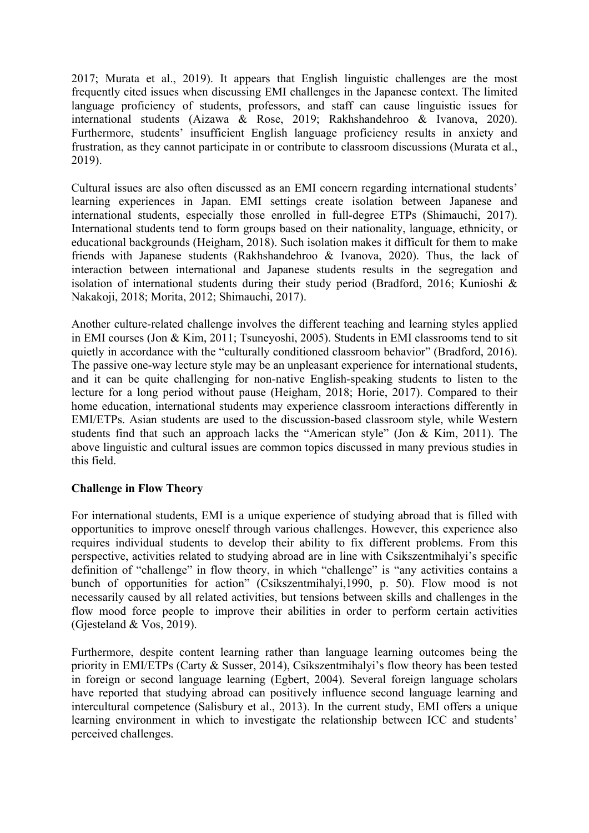2017; Murata et al., 2019). It appears that English linguistic challenges are the most frequently cited issues when discussing EMI challenges in the Japanese context. The limited language proficiency of students, professors, and staff can cause linguistic issues for international students (Aizawa & Rose, 2019; Rakhshandehroo & Ivanova, 2020). Furthermore, students' insufficient English language proficiency results in anxiety and frustration, as they cannot participate in or contribute to classroom discussions (Murata et al., 2019).

Cultural issues are also often discussed as an EMI concern regarding international students' learning experiences in Japan. EMI settings create isolation between Japanese and international students, especially those enrolled in full-degree ETPs (Shimauchi, 2017). International students tend to form groups based on their nationality, language, ethnicity, or educational backgrounds (Heigham, 2018). Such isolation makes it difficult for them to make friends with Japanese students (Rakhshandehroo & Ivanova, 2020). Thus, the lack of interaction between international and Japanese students results in the segregation and isolation of international students during their study period (Bradford, 2016; Kunioshi & Nakakoji, 2018; Morita, 2012; Shimauchi, 2017).

Another culture-related challenge involves the different teaching and learning styles applied in EMI courses (Jon & Kim, 2011; Tsuneyoshi, 2005). Students in EMI classrooms tend to sit quietly in accordance with the "culturally conditioned classroom behavior" (Bradford, 2016). The passive one-way lecture style may be an unpleasant experience for international students, and it can be quite challenging for non-native English-speaking students to listen to the lecture for a long period without pause (Heigham, 2018; Horie, 2017). Compared to their home education, international students may experience classroom interactions differently in EMI/ETPs. Asian students are used to the discussion-based classroom style, while Western students find that such an approach lacks the "American style" (Jon & Kim, 2011). The above linguistic and cultural issues are common topics discussed in many previous studies in this field.

## **Challenge in Flow Theory**

For international students, EMI is a unique experience of studying abroad that is filled with opportunities to improve oneself through various challenges. However, this experience also requires individual students to develop their ability to fix different problems. From this perspective, activities related to studying abroad are in line with Csikszentmihalyi's specific definition of "challenge" in flow theory, in which "challenge" is "any activities contains a bunch of opportunities for action" (Csikszentmihalyi,1990, p. 50). Flow mood is not necessarily caused by all related activities, but tensions between skills and challenges in the flow mood force people to improve their abilities in order to perform certain activities (Gjesteland & Vos, 2019).

Furthermore, despite content learning rather than language learning outcomes being the priority in EMI/ETPs (Carty & Susser, 2014), Csikszentmihalyi's flow theory has been tested in foreign or second language learning (Egbert, 2004). Several foreign language scholars have reported that studying abroad can positively influence second language learning and intercultural competence (Salisbury et al., 2013). In the current study, EMI offers a unique learning environment in which to investigate the relationship between ICC and students' perceived challenges.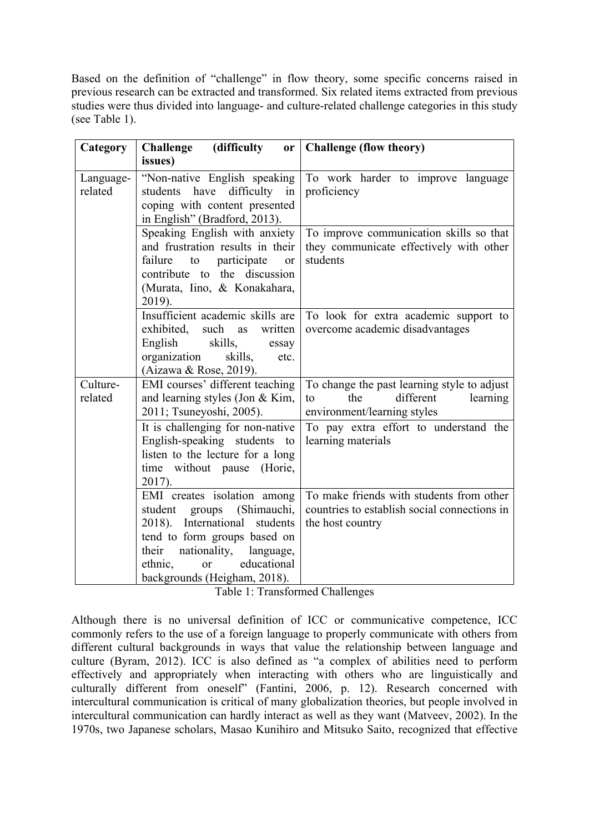Based on the definition of "challenge" in flow theory, some specific concerns raised in previous research can be extracted and transformed. Six related items extracted from previous studies were thus divided into language- and culture-related challenge categories in this study (see Table 1).

| Category             | <b>Challenge</b><br>(difficulty<br>or <sub>l</sub>                                                                                                                                                                                                | <b>Challenge (flow theory)</b>                                                                                              |  |  |
|----------------------|---------------------------------------------------------------------------------------------------------------------------------------------------------------------------------------------------------------------------------------------------|-----------------------------------------------------------------------------------------------------------------------------|--|--|
|                      | issues)                                                                                                                                                                                                                                           |                                                                                                                             |  |  |
| Language-<br>related | "Non-native English speaking<br>students have difficulty<br>in<br>coping with content presented<br>in English" (Bradford, 2013).                                                                                                                  | To work harder to improve language<br>proficiency                                                                           |  |  |
|                      | Speaking English with anxiety<br>and frustration results in their<br>failure<br>to<br>participate<br><sub>or</sub><br>contribute to the discussion<br>(Murata, Iino, & Konakahara,<br>2019).                                                      | To improve communication skills so that<br>they communicate effectively with other<br>students                              |  |  |
|                      | Insufficient academic skills are<br>exhibited,<br>such<br>written<br>as<br>skills,<br>English<br>essay<br>organization<br>skills,<br>etc.<br>(Aizawa & Rose, 2019).                                                                               | To look for extra academic support to<br>overcome academic disadvantages                                                    |  |  |
| Culture-<br>related  | EMI courses' different teaching<br>and learning styles (Jon & Kim,<br>2011; Tsuneyoshi, 2005).                                                                                                                                                    | To change the past learning style to adjust<br>different<br>the<br>learning<br>$\mathsf{to}$<br>environment/learning styles |  |  |
|                      | It is challenging for non-native<br>English-speaking students to<br>listen to the lecture for a long<br>time without pause<br>(Horie,<br>2017).                                                                                                   | To pay extra effort to understand the<br>learning materials                                                                 |  |  |
|                      | EMI creates isolation among<br>(Shimauchi,<br>student<br>groups<br>2018). International students<br>tend to form groups based on<br>their<br>nationality,<br>language,<br>educational<br>ethnic,<br><sub>or</sub><br>backgrounds (Heigham, 2018). | To make friends with students from other<br>countries to establish social connections in<br>the host country                |  |  |

Table 1: Transformed Challenges

Although there is no universal definition of ICC or communicative competence, ICC commonly refers to the use of a foreign language to properly communicate with others from different cultural backgrounds in ways that value the relationship between language and culture (Byram, 2012). ICC is also defined as "a complex of abilities need to perform effectively and appropriately when interacting with others who are linguistically and culturally different from oneself" (Fantini, 2006, p. 12). Research concerned with intercultural communication is critical of many globalization theories, but people involved in intercultural communication can hardly interact as well as they want (Matveev, 2002). In the 1970s, two Japanese scholars, Masao Kunihiro and Mitsuko Saito, recognized that effective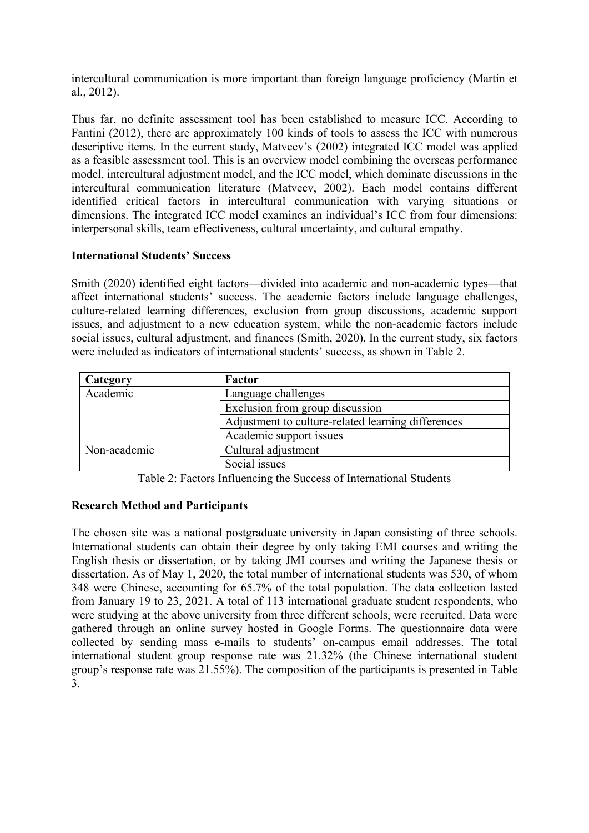intercultural communication is more important than foreign language proficiency (Martin et al., 2012).

Thus far, no definite assessment tool has been established to measure ICC. According to Fantini (2012), there are approximately 100 kinds of tools to assess the ICC with numerous descriptive items. In the current study, Matveev's (2002) integrated ICC model was applied as a feasible assessment tool. This is an overview model combining the overseas performance model, intercultural adjustment model, and the ICC model, which dominate discussions in the intercultural communication literature (Matveev, 2002). Each model contains different identified critical factors in intercultural communication with varying situations or dimensions. The integrated ICC model examines an individual's ICC from four dimensions: interpersonal skills, team effectiveness, cultural uncertainty, and cultural empathy.

### **International Students' Success**

Smith (2020) identified eight factors—divided into academic and non-academic types—that affect international students' success. The academic factors include language challenges, culture-related learning differences, exclusion from group discussions, academic support issues, and adjustment to a new education system, while the non-academic factors include social issues, cultural adjustment, and finances (Smith, 2020). In the current study, six factors were included as indicators of international students' success, as shown in Table 2.

| Category     | Factor                                             |
|--------------|----------------------------------------------------|
| Academic     | Language challenges                                |
|              | Exclusion from group discussion                    |
|              | Adjustment to culture-related learning differences |
|              | Academic support issues                            |
| Non-academic | Cultural adjustment                                |
|              | Social issues                                      |

Table 2: Factors Influencing the Success of International Students

## **Research Method and Participants**

The chosen site was a national postgraduate university in Japan consisting of three schools. International students can obtain their degree by only taking EMI courses and writing the English thesis or dissertation, or by taking JMI courses and writing the Japanese thesis or dissertation. As of May 1, 2020, the total number of international students was 530, of whom 348 were Chinese, accounting for 65.7% of the total population. The data collection lasted from January 19 to 23, 2021. A total of 113 international graduate student respondents, who were studying at the above university from three different schools, were recruited. Data were gathered through an online survey hosted in Google Forms. The questionnaire data were collected by sending mass e-mails to students' on-campus email addresses. The total international student group response rate was 21.32% (the Chinese international student group's response rate was 21.55%). The composition of the participants is presented in Table 3.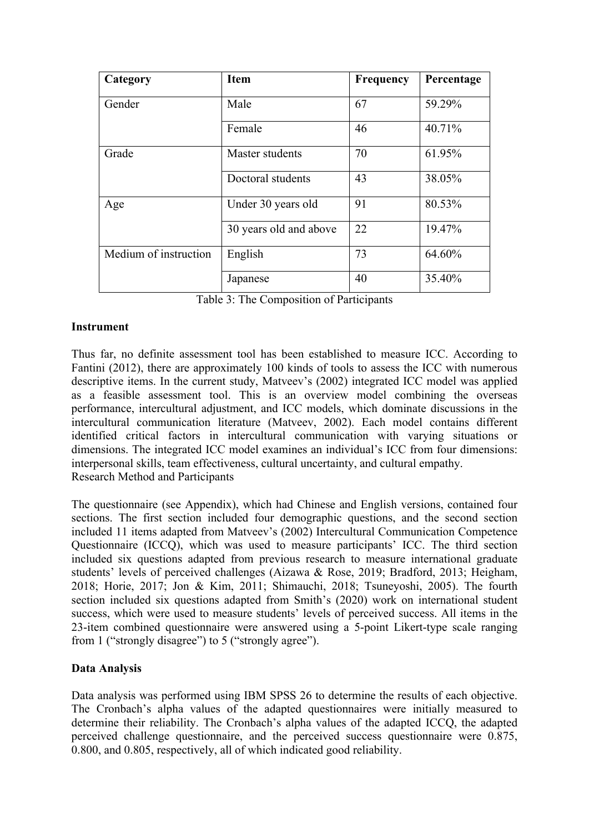| Category              | <b>Item</b>            | <b>Frequency</b> | Percentage |
|-----------------------|------------------------|------------------|------------|
| Gender                | Male                   | 67               | 59.29%     |
|                       | Female                 | 46               | 40.71%     |
| Grade                 | Master students        | 70               | 61.95%     |
|                       | Doctoral students      | 43               | 38.05%     |
| Age                   | Under 30 years old     | 91               | 80.53%     |
|                       | 30 years old and above | 22               | 19.47%     |
| Medium of instruction | English                | 73               | 64.60%     |
|                       | Japanese               | 40               | 35.40%     |

Table 3: The Composition of Participants

## **Instrument**

Thus far, no definite assessment tool has been established to measure ICC. According to Fantini (2012), there are approximately 100 kinds of tools to assess the ICC with numerous descriptive items. In the current study, Matveev's (2002) integrated ICC model was applied as a feasible assessment tool. This is an overview model combining the overseas performance, intercultural adjustment, and ICC models, which dominate discussions in the intercultural communication literature (Matveev, 2002). Each model contains different identified critical factors in intercultural communication with varying situations or dimensions. The integrated ICC model examines an individual's ICC from four dimensions: interpersonal skills, team effectiveness, cultural uncertainty, and cultural empathy. Research Method and Participants

The questionnaire (see Appendix), which had Chinese and English versions, contained four sections. The first section included four demographic questions, and the second section included 11 items adapted from Matveev's (2002) Intercultural Communication Competence Questionnaire (ICCQ), which was used to measure participants' ICC. The third section included six questions adapted from previous research to measure international graduate students' levels of perceived challenges (Aizawa & Rose, 2019; Bradford, 2013; Heigham, 2018; Horie, 2017; Jon & Kim, 2011; Shimauchi, 2018; Tsuneyoshi, 2005). The fourth section included six questions adapted from Smith's (2020) work on international student success, which were used to measure students' levels of perceived success. All items in the 23-item combined questionnaire were answered using a 5-point Likert-type scale ranging from 1 ("strongly disagree") to 5 ("strongly agree").

# **Data Analysis**

Data analysis was performed using IBM SPSS 26 to determine the results of each objective. The Cronbach's alpha values of the adapted questionnaires were initially measured to determine their reliability. The Cronbach's alpha values of the adapted ICCQ, the adapted perceived challenge questionnaire, and the perceived success questionnaire were 0.875, 0.800, and 0.805, respectively, all of which indicated good reliability.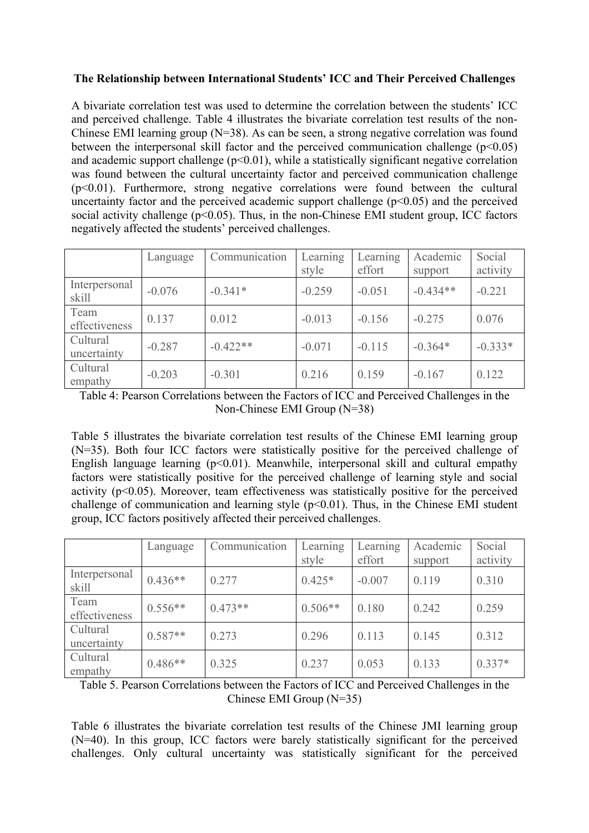## **The Relationship between International Students' ICC and Their Perceived Challenges**

A bivariate correlation test was used to determine the correlation between the students' ICC and perceived challenge. Table 4 illustrates the bivariate correlation test results of the non-Chinese EMI learning group (N=38). As can be seen, a strong negative correlation was found between the interpersonal skill factor and the perceived communication challenge  $(p<0.05)$ and academic support challenge  $(p<0.01)$ , while a statistically significant negative correlation was found between the cultural uncertainty factor and perceived communication challenge  $(p<0.01)$ . Furthermore, strong negative correlations were found between the cultural uncertainty factor and the perceived academic support challenge  $(p<0.05)$  and the perceived social activity challenge  $(p<0.05)$ . Thus, in the non-Chinese EMI student group, ICC factors negatively affected the students' perceived challenges.

|                         | Language | Communication | Learning<br>style | Learning<br>effort | Academic<br>support | Social<br>activity |
|-------------------------|----------|---------------|-------------------|--------------------|---------------------|--------------------|
| Interpersonal<br>skill  | $-0.076$ | $-0.341*$     | $-0.259$          | $-0.051$           | $-0.434**$          | $-0.221$           |
| Team<br>effectiveness   | 0.137    | 0.012         | $-0.013$          | $-0.156$           | $-0.275$            | 0.076              |
| Cultural<br>uncertainty | $-0.287$ | $-0.422**$    | $-0.071$          | $-0.115$           | $-0.364*$           | $-0.333*$          |
| Cultural<br>empathy     | $-0.203$ | $-0.301$      | 0.216             | 0.159              | $-0.167$            | 0.122              |

Table 4: Pearson Correlations between the Factors of ICC and Perceived Challenges in the Non-Chinese EMI Group (N=38)

Table 5 illustrates the bivariate correlation test results of the Chinese EMI learning group (N=35). Both four ICC factors were statistically positive for the perceived challenge of English language learning  $(p<0.01)$ . Meanwhile, interpersonal skill and cultural empathy factors were statistically positive for the perceived challenge of learning style and social activity ( $p<0.05$ ). Moreover, team effectiveness was statistically positive for the perceived challenge of communication and learning style  $(p<0.01)$ . Thus, in the Chinese EMI student group, ICC factors positively affected their perceived challenges.

|                         | Language  | Communication | Learning<br>style | Learning<br>effort | Academic<br>support | Social<br>activity |
|-------------------------|-----------|---------------|-------------------|--------------------|---------------------|--------------------|
| Interpersonal<br>skill  | $0.436**$ | 0.277         | $0.425*$          | $-0.007$           | 0.119               | 0.310              |
| Team<br>effectiveness   | $0.556**$ | $0.473**$     | $0.506**$         | 0.180              | 0.242               | 0.259              |
| Cultural<br>uncertainty | $0.587**$ | 0.273         | 0.296             | 0.113              | 0.145               | 0.312              |
| Cultural<br>empathy     | $0.486**$ | 0.325         | 0.237             | 0.053              | 0.133               | $0.337*$           |

Table 5. Pearson Correlations between the Factors of ICC and Perceived Challenges in the Chinese EMI Group (N=35)

Table 6 illustrates the bivariate correlation test results of the Chinese JMI learning group (N=40). In this group, ICC factors were barely statistically significant for the perceived challenges. Only cultural uncertainty was statistically significant for the perceived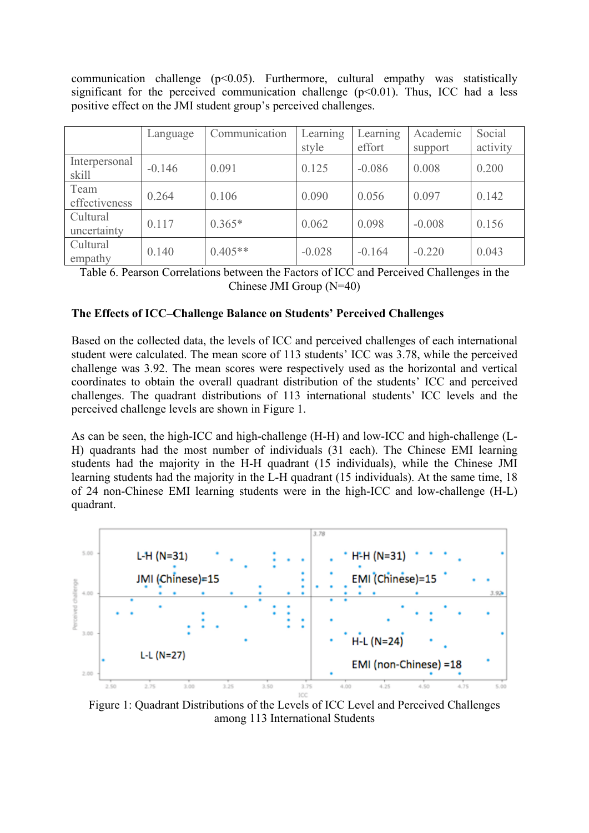communication challenge  $(p<0.05)$ . Furthermore, cultural empathy was statistically significant for the perceived communication challenge  $(p<0.01)$ . Thus, ICC had a less positive effect on the JMI student group's perceived challenges.

|                         | Language | Communication | Learning<br>style | Learning<br>effort | Academic<br>support | Social<br>activity |
|-------------------------|----------|---------------|-------------------|--------------------|---------------------|--------------------|
| Interpersonal<br>skill  | $-0.146$ | 0.091         | 0.125             | $-0.086$           | 0.008               | 0.200              |
| Team<br>effectiveness   | 0.264    | 0.106         | 0.090             | 0.056              | 0.097               | 0.142              |
| Cultural<br>uncertainty | 0.117    | $0.365*$      | 0.062             | 0.098              | $-0.008$            | 0.156              |
| Cultural<br>empathy     | 0.140    | $0.405**$     | $-0.028$          | $-0.164$           | $-0.220$            | 0.043              |

Table 6. Pearson Correlations between the Factors of ICC and Perceived Challenges in the Chinese JMI Group (N=40)

### **The Effects of ICC–Challenge Balance on Students' Perceived Challenges**

Based on the collected data, the levels of ICC and perceived challenges of each international student were calculated. The mean score of 113 students' ICC was 3.78, while the perceived challenge was 3.92. The mean scores were respectively used as the horizontal and vertical coordinates to obtain the overall quadrant distribution of the students' ICC and perceived challenges. The quadrant distributions of 113 international students' ICC levels and the perceived challenge levels are shown in Figure 1.

As can be seen, the high-ICC and high-challenge (H-H) and low-ICC and high-challenge (L-H) quadrants had the most number of individuals (31 each). The Chinese EMI learning students had the majority in the H-H quadrant (15 individuals), while the Chinese JMI learning students had the majority in the L-H quadrant (15 individuals). At the same time, 18 of 24 non-Chinese EMI learning students were in the high-ICC and low-challenge (H-L) quadrant.



Figure 1: Quadrant Distributions of the Levels of ICC Level and Perceived Challenges among 113 International Students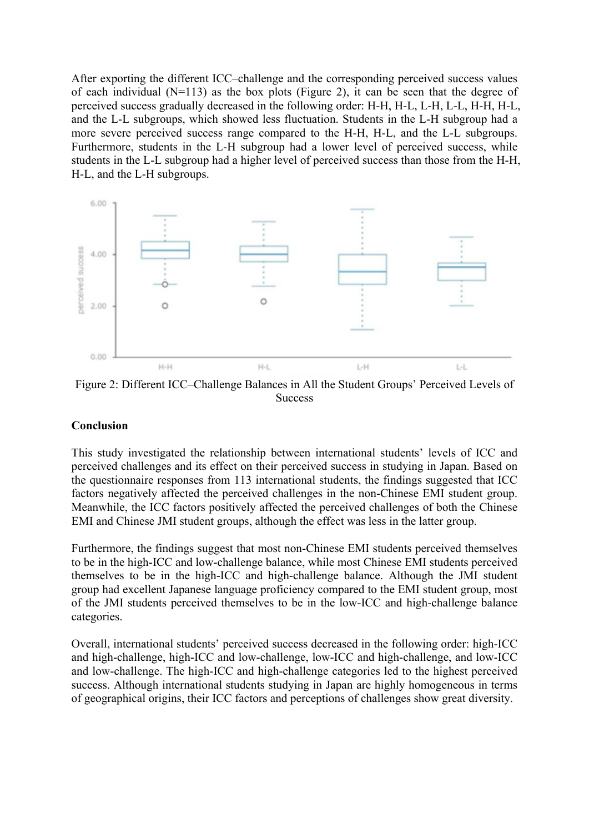After exporting the different ICC–challenge and the corresponding perceived success values of each individual  $(N=113)$  as the box plots (Figure 2), it can be seen that the degree of perceived success gradually decreased in the following order: H-H, H-L, L-H, L-L, H-H, H-L, and the L-L subgroups, which showed less fluctuation. Students in the L-H subgroup had a more severe perceived success range compared to the H-H, H-L, and the L-L subgroups. Furthermore, students in the L-H subgroup had a lower level of perceived success, while students in the L-L subgroup had a higher level of perceived success than those from the H-H, H-L, and the L-H subgroups.



Figure 2: Different ICC–Challenge Balances in All the Student Groups' Perceived Levels of **Success** 

#### **Conclusion**

This study investigated the relationship between international students' levels of ICC and perceived challenges and its effect on their perceived success in studying in Japan. Based on the questionnaire responses from 113 international students, the findings suggested that ICC factors negatively affected the perceived challenges in the non-Chinese EMI student group. Meanwhile, the ICC factors positively affected the perceived challenges of both the Chinese EMI and Chinese JMI student groups, although the effect was less in the latter group.

Furthermore, the findings suggest that most non-Chinese EMI students perceived themselves to be in the high-ICC and low-challenge balance, while most Chinese EMI students perceived themselves to be in the high-ICC and high-challenge balance. Although the JMI student group had excellent Japanese language proficiency compared to the EMI student group, most of the JMI students perceived themselves to be in the low-ICC and high-challenge balance categories.

Overall, international students' perceived success decreased in the following order: high-ICC and high-challenge, high-ICC and low-challenge, low-ICC and high-challenge, and low-ICC and low-challenge. The high-ICC and high-challenge categories led to the highest perceived success. Although international students studying in Japan are highly homogeneous in terms of geographical origins, their ICC factors and perceptions of challenges show great diversity.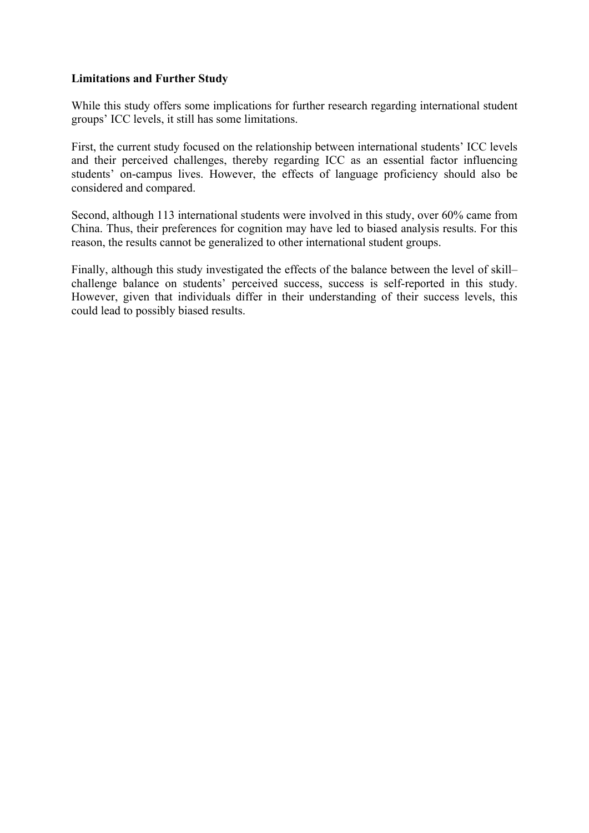### **Limitations and Further Study**

While this study offers some implications for further research regarding international student groups' ICC levels, it still has some limitations.

First, the current study focused on the relationship between international students' ICC levels and their perceived challenges, thereby regarding ICC as an essential factor influencing students' on-campus lives. However, the effects of language proficiency should also be considered and compared.

Second, although 113 international students were involved in this study, over 60% came from China. Thus, their preferences for cognition may have led to biased analysis results. For this reason, the results cannot be generalized to other international student groups.

Finally, although this study investigated the effects of the balance between the level of skill– challenge balance on students' perceived success, success is self-reported in this study. However, given that individuals differ in their understanding of their success levels, this could lead to possibly biased results.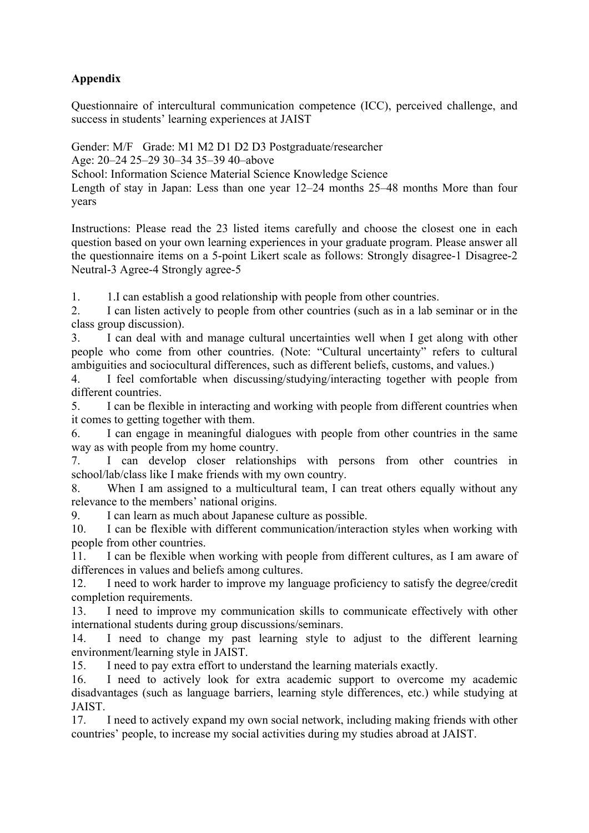# **Appendix**

Questionnaire of intercultural communication competence (ICC), perceived challenge, and success in students' learning experiences at JAIST

Gender: M/F Grade: M1 M2 D1 D2 D3 Postgraduate/researcher

Age: 20–24 25–29 30–34 35–39 40–above

School: Information Science Material Science Knowledge Science

Length of stay in Japan: Less than one year 12–24 months 25–48 months More than four years

Instructions: Please read the 23 listed items carefully and choose the closest one in each question based on your own learning experiences in your graduate program. Please answer all the questionnaire items on a 5-point Likert scale as follows: Strongly disagree-1 Disagree-2 Neutral-3 Agree-4 Strongly agree-5

1. 1.I can establish a good relationship with people from other countries.

2. I can listen actively to people from other countries (such as in a lab seminar or in the class group discussion).

3. I can deal with and manage cultural uncertainties well when I get along with other people who come from other countries. (Note: "Cultural uncertainty" refers to cultural ambiguities and sociocultural differences, such as different beliefs, customs, and values.)

4. I feel comfortable when discussing/studying/interacting together with people from different countries.

5. I can be flexible in interacting and working with people from different countries when it comes to getting together with them.

6. I can engage in meaningful dialogues with people from other countries in the same way as with people from my home country.

7. I can develop closer relationships with persons from other countries in school/lab/class like I make friends with my own country.

8. When I am assigned to a multicultural team, I can treat others equally without any relevance to the members' national origins.

9. I can learn as much about Japanese culture as possible.

10. I can be flexible with different communication/interaction styles when working with people from other countries.

11. I can be flexible when working with people from different cultures, as I am aware of differences in values and beliefs among cultures.

12. I need to work harder to improve my language proficiency to satisfy the degree/credit completion requirements.

13. I need to improve my communication skills to communicate effectively with other international students during group discussions/seminars.

14. I need to change my past learning style to adjust to the different learning environment/learning style in JAIST.

15. I need to pay extra effort to understand the learning materials exactly.

16. I need to actively look for extra academic support to overcome my academic disadvantages (such as language barriers, learning style differences, etc.) while studying at JAIST.

17. I need to actively expand my own social network, including making friends with other countries' people, to increase my social activities during my studies abroad at JAIST.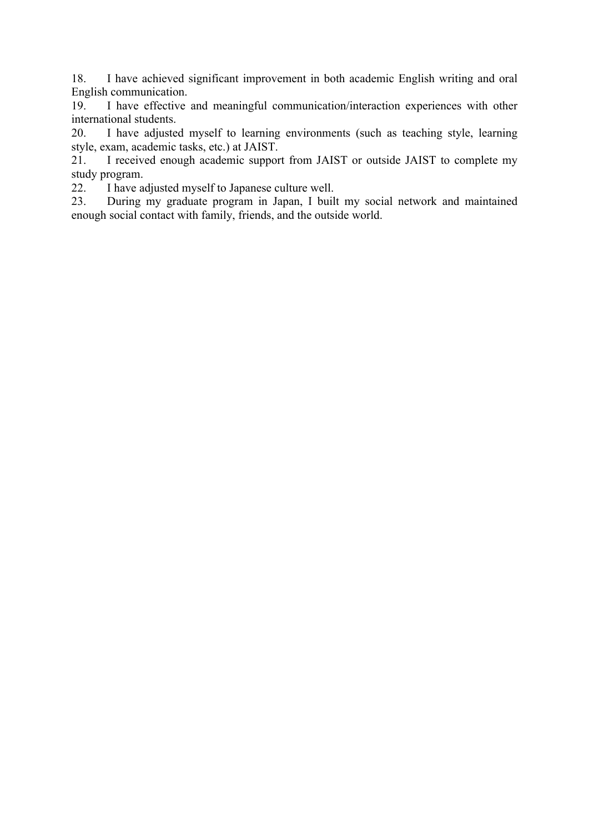18. I have achieved significant improvement in both academic English writing and oral English communication.

19. I have effective and meaningful communication/interaction experiences with other international students.

20. I have adjusted myself to learning environments (such as teaching style, learning style, exam, academic tasks, etc.) at JAIST.

21. I received enough academic support from JAIST or outside JAIST to complete my study program.

22. I have adjusted myself to Japanese culture well.

23. During my graduate program in Japan, I built my social network and maintained enough social contact with family, friends, and the outside world.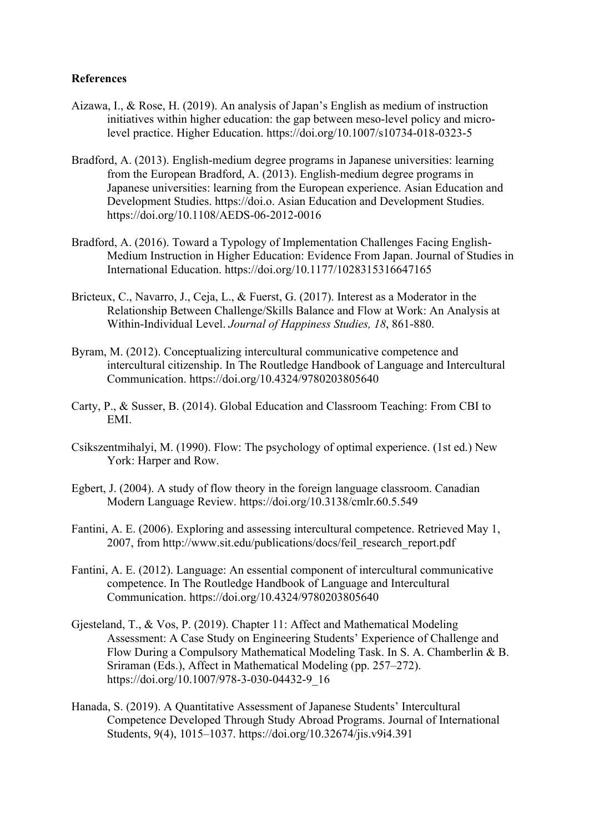## **References**

- Aizawa, I., & Rose, H. (2019). An analysis of Japan's English as medium of instruction initiatives within higher education: the gap between meso-level policy and microlevel practice. Higher Education. https://doi.org/10.1007/s10734-018-0323-5
- Bradford, A. (2013). English-medium degree programs in Japanese universities: learning from the European Bradford, A. (2013). English-medium degree programs in Japanese universities: learning from the European experience. Asian Education and Development Studies. https://doi.o. Asian Education and Development Studies. https://doi.org/10.1108/AEDS-06-2012-0016
- Bradford, A. (2016). Toward a Typology of Implementation Challenges Facing English-Medium Instruction in Higher Education: Evidence From Japan. Journal of Studies in International Education. https://doi.org/10.1177/1028315316647165
- Bricteux, C., Navarro, J., Ceja, L., & Fuerst, G. (2017). Interest as a Moderator in the Relationship Between Challenge/Skills Balance and Flow at Work: An Analysis at Within-Individual Level. *Journal of Happiness Studies, 18*, 861-880.
- Byram, M. (2012). Conceptualizing intercultural communicative competence and intercultural citizenship. In The Routledge Handbook of Language and Intercultural Communication. https://doi.org/10.4324/9780203805640
- Carty, P., & Susser, B. (2014). Global Education and Classroom Teaching: From CBI to EMI.
- Csikszentmihalyi, M. (1990). Flow: The psychology of optimal experience. (1st ed.) New York: Harper and Row.
- Egbert, J. (2004). A study of flow theory in the foreign language classroom. Canadian Modern Language Review. https://doi.org/10.3138/cmlr.60.5.549
- Fantini, A. E. (2006). Exploring and assessing intercultural competence. Retrieved May 1, 2007, from http://www.sit.edu/publications/docs/feil\_research\_report.pdf
- Fantini, A. E. (2012). Language: An essential component of intercultural communicative competence. In The Routledge Handbook of Language and Intercultural Communication. https://doi.org/10.4324/9780203805640
- Gjesteland, T., & Vos, P. (2019). Chapter 11: Affect and Mathematical Modeling Assessment: A Case Study on Engineering Students' Experience of Challenge and Flow During a Compulsory Mathematical Modeling Task. In S. A. Chamberlin & B. Sriraman (Eds.), Affect in Mathematical Modeling (pp. 257–272). https://doi.org/10.1007/978-3-030-04432-9\_16
- Hanada, S. (2019). A Quantitative Assessment of Japanese Students' Intercultural Competence Developed Through Study Abroad Programs. Journal of International Students, 9(4), 1015–1037. https://doi.org/10.32674/jis.v9i4.391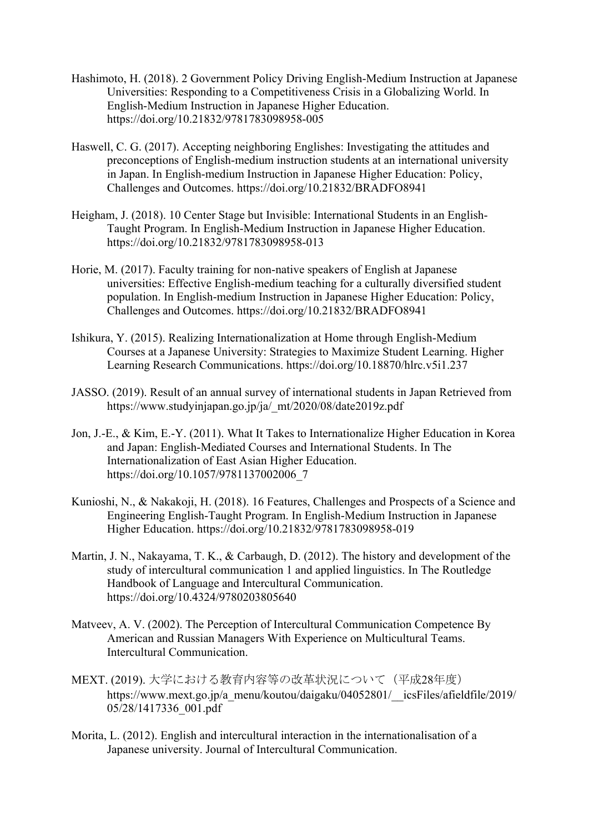- Hashimoto, H. (2018). 2 Government Policy Driving English-Medium Instruction at Japanese Universities: Responding to a Competitiveness Crisis in a Globalizing World. In English-Medium Instruction in Japanese Higher Education. https://doi.org/10.21832/9781783098958-005
- Haswell, C. G. (2017). Accepting neighboring Englishes: Investigating the attitudes and preconceptions of English-medium instruction students at an international university in Japan. In English-medium Instruction in Japanese Higher Education: Policy, Challenges and Outcomes. https://doi.org/10.21832/BRADFO8941
- Heigham, J. (2018). 10 Center Stage but Invisible: International Students in an English-Taught Program. In English-Medium Instruction in Japanese Higher Education. https://doi.org/10.21832/9781783098958-013
- Horie, M. (2017). Faculty training for non-native speakers of English at Japanese universities: Effective English-medium teaching for a culturally diversified student population. In English-medium Instruction in Japanese Higher Education: Policy, Challenges and Outcomes. https://doi.org/10.21832/BRADFO8941
- Ishikura, Y. (2015). Realizing Internationalization at Home through English-Medium Courses at a Japanese University: Strategies to Maximize Student Learning. Higher Learning Research Communications. https://doi.org/10.18870/hlrc.v5i1.237
- JASSO. (2019). Result of an annual survey of international students in Japan Retrieved from https://www.studyinjapan.go.jp/ja/\_mt/2020/08/date2019z.pdf
- Jon, J.-E., & Kim, E.-Y. (2011). What It Takes to Internationalize Higher Education in Korea and Japan: English-Mediated Courses and International Students. In The Internationalization of East Asian Higher Education. https://doi.org/10.1057/9781137002006\_7
- Kunioshi, N., & Nakakoji, H. (2018). 16 Features, Challenges and Prospects of a Science and Engineering English-Taught Program. In English-Medium Instruction in Japanese Higher Education. https://doi.org/10.21832/9781783098958-019
- Martin, J. N., Nakayama, T. K., & Carbaugh, D. (2012). The history and development of the study of intercultural communication 1 and applied linguistics. In The Routledge Handbook of Language and Intercultural Communication. https://doi.org/10.4324/9780203805640
- Matveev, A. V. (2002). The Perception of Intercultural Communication Competence By American and Russian Managers With Experience on Multicultural Teams. Intercultural Communication.
- MEXT. (2019). 大学における教育内容等の改革状況について(平成28年度) https://www.mext.go.jp/a\_menu/koutou/daigaku/04052801/\_\_icsFiles/afieldfile/2019/ 05/28/1417336\_001.pdf
- Morita, L. (2012). English and intercultural interaction in the internationalisation of a Japanese university. Journal of Intercultural Communication.